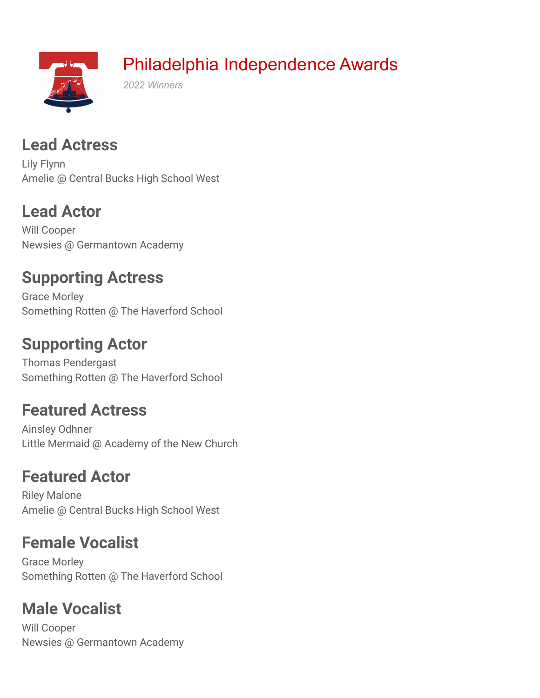

### **Lead Actress**

Lily Flynn Amelie @ Central Bucks High School West

## **Lead Actor**

Will Cooper Newsies @ Germantown Academy

### **Supporting Actress**

Grace Morley Something Rotten @ The Haverford School

### **Supporting Actor**

Thomas Pendergast Something Rotten @ The Haverford School

### **Featured Actress**

Ainsley Odhner Little Mermaid @ Academy of the New Church

# **Featured Actor**

Riley Malone Amelie @ Central Bucks High School West

## **Female Vocalist**

Grace Morley Something Rotten @ The Haverford School

# **Male Vocalist**

Will Cooper Newsies @ Germantown Academy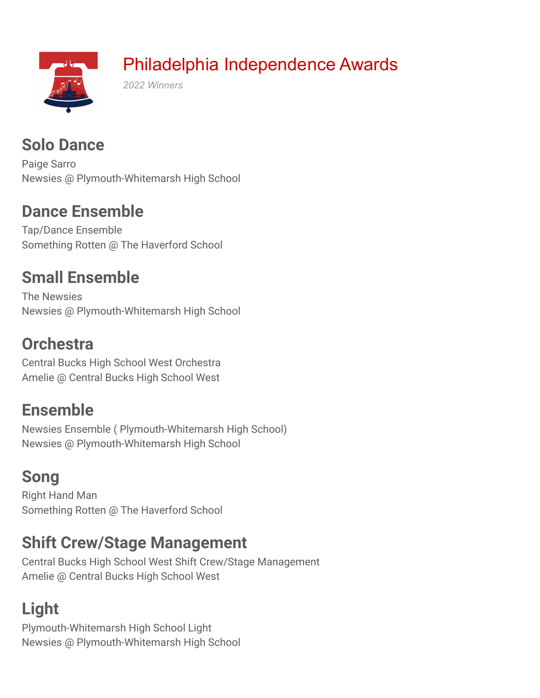

#### **Solo Dance**

Paige Sarro Newsies @ Plymouth-Whitemarsh High School

#### **Dance Ensemble**

Tap/Dance Ensemble Something Rotten @ The Haverford School

#### **Small Ensemble**

The Newsies Newsies @ Plymouth-Whitemarsh High School

#### **Orchestra**

Central Bucks High School West Orchestra Amelie @ Central Bucks High School West

### **Ensemble**

Newsies Ensemble ( Plymouth-Whitemarsh High School) Newsies @ Plymouth-Whitemarsh High School

## **Song**

Right Hand Man Something Rotten @ The Haverford School

### **Shift Crew/Stage Management**

Central Bucks High School West Shift Crew/Stage Management Amelie @ Central Bucks High School West

# **Light**

Plymouth-Whitemarsh High School Light Newsies @ Plymouth-Whitemarsh High School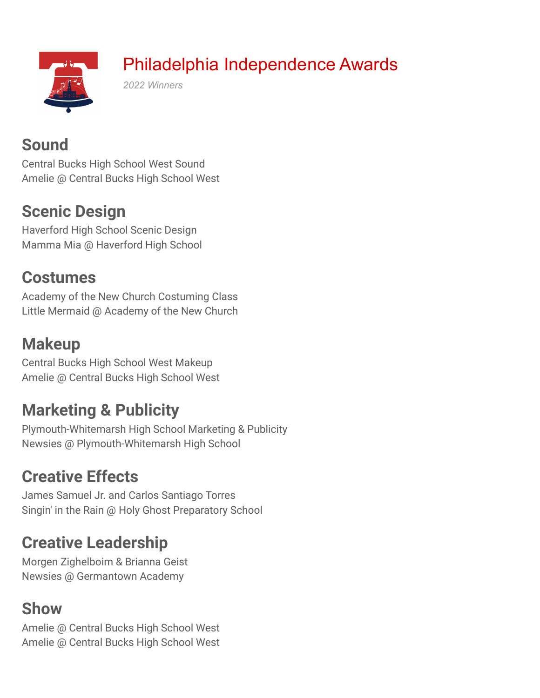

# Philadelphia Independence Awards

*2022 Winners*

## **Sound**

Central Bucks High School West Sound Amelie @ Central Bucks High School West

## **Scenic Design**

Haverford High School Scenic Design Mamma Mia @ Haverford High School

### **Costumes**

Academy of the New Church Costuming Class Little Mermaid @ Academy of the New Church

## **Makeup**

Central Bucks High School West Makeup Amelie @ Central Bucks High School West

# **Marketing & Publicity**

Plymouth-Whitemarsh High School Marketing & Publicity Newsies @ Plymouth-Whitemarsh High School

# **Creative Effects**

James Samuel Jr. and Carlos Santiago Torres Singin' in the Rain @ Holy Ghost Preparatory School

## **Creative Leadership**

Morgen Zighelboim & Brianna Geist Newsies @ Germantown Academy

## **Show**

Amelie @ Central Bucks High School West Amelie @ Central Bucks High School West